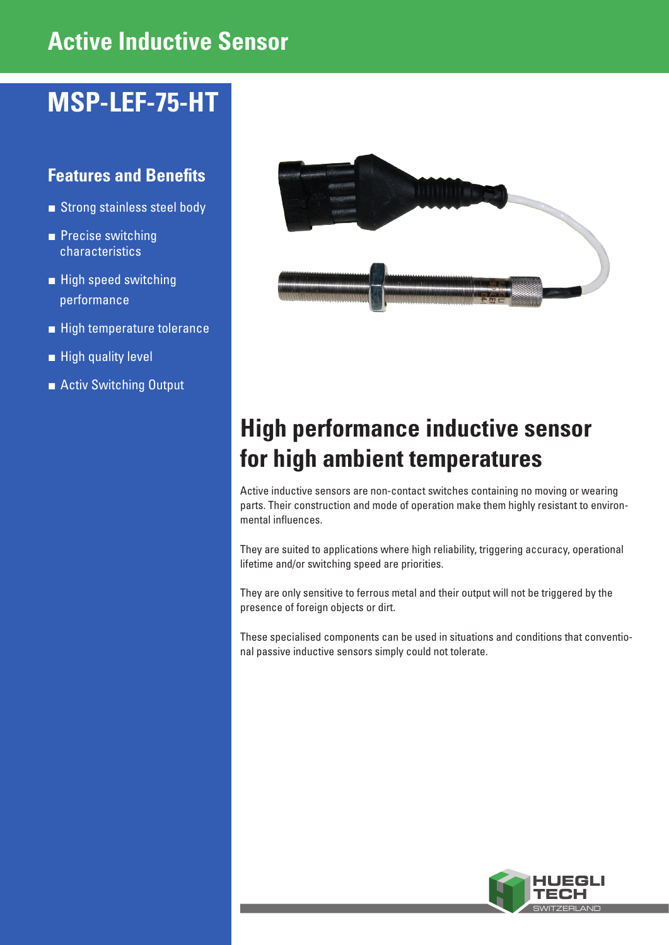# **Active Inductive Sensor**

# **MSP-LEF-75-HT**

### **Features and Benefits**

- Strong stainless steel body
- Precise switching characteristics
- **■** High speed switching performance
- High temperature tolerance
- High quality level
- **■** Activ Switching Output



## **High performance inductive sensor for high ambient temperatures**

Active inductive sensors are non-contact switches containing no moving or wearing parts. Their construction and mode of operation make them highly resistant to environmental influences.

They are suited to applications where high reliability, triggering accuracy, operational lifetime and/or switching speed are priorities.

They are only sensitive to ferrous metal and their output will not be triggered by the presence of foreign objects or dirt.

These specialised components can be used in situations and conditions that conventional passive inductive sensors simply could not tolerate.